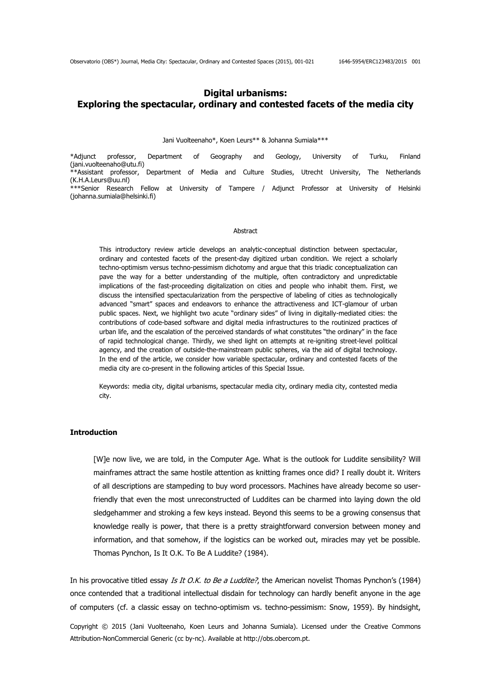# **Digital urbanisms: Exploring the spectacular, ordinary and contested facets of the media city**

#### Jani Vuolteenaho\*, Koen Leurs\*\* & Johanna Sumiala\*\*\*

\*Adjunct professor, Department of Geography and Geology, University of Turku, Finland (jani.vuolteenaho@utu.fi) \*\*Assistant professor, Department of Media and Culture Studies, Utrecht University, The Netherlands (K.H.A.Leurs@uu.nl) \*\*\*Senior Research Fellow at University of Tampere / Adjunct Professor at University of Helsinki (johanna.sumiala@helsinki.fi)

#### Abstract

This introductory review article develops an analytic-conceptual distinction between spectacular, ordinary and contested facets of the present-day digitized urban condition. We reject a scholarly techno-optimism versus techno-pessimism dichotomy and argue that this triadic conceptualization can pave the way for a better understanding of the multiple, often contradictory and unpredictable implications of the fast-proceeding digitalization on cities and people who inhabit them. First, we discuss the intensified spectacularization from the perspective of labeling of cities as technologically advanced "smart" spaces and endeavors to enhance the attractiveness and ICT-glamour of urban public spaces. Next, we highlight two acute "ordinary sides" of living in digitally-mediated cities: the contributions of code-based software and digital media infrastructures to the routinized practices of urban life, and the escalation of the perceived standards of what constitutes "the ordinary" in the face of rapid technological change. Thirdly, we shed light on attempts at re-igniting street-level political agency, and the creation of outside-the-mainstream public spheres, via the aid of digital technology. In the end of the article, we consider how variable spectacular, ordinary and contested facets of the media city are co-present in the following articles of this Special Issue.

Keywords: media city, digital urbanisms, spectacular media city, ordinary media city, contested media city.

### **Introduction**

[W]e now live, we are told, in the Computer Age. What is the outlook for Luddite sensibility? Will mainframes attract the same hostile attention as knitting frames once did? I really doubt it. Writers of all descriptions are stampeding to buy word processors. Machines have already become so userfriendly that even the most unreconstructed of Luddites can be charmed into laying down the old sledgehammer and stroking a few keys instead. Beyond this seems to be a growing consensus that knowledge really is power, that there is a pretty straightforward conversion between money and information, and that somehow, if the logistics can be worked out, miracles may yet be possible. Thomas Pynchon, Is It O.K. To Be A Luddite? (1984).

In his provocative titled essay Is It O.K. to Be a Luddite?, the American novelist Thomas Pynchon's (1984) once contended that a traditional intellectual disdain for technology can hardly benefit anyone in the age of computers (cf. a classic essay on techno-optimism vs. techno-pessimism: Snow, 1959). By hindsight,

Copyright © 2015 (Jani Vuolteenaho, Koen Leurs and Johanna Sumiala). Licensed under the Creative Commons Attribution-NonCommercial Generic (cc by-nc). Available at http://obs.obercom.pt.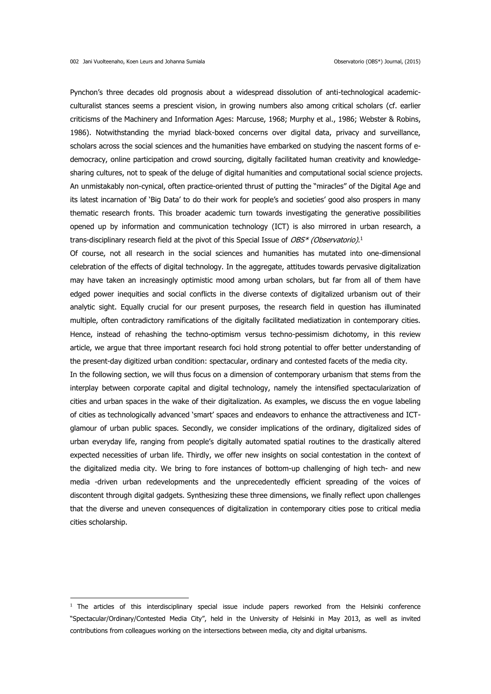Pynchon's three decades old prognosis about a widespread dissolution of anti-technological academicculturalist stances seems a prescient vision, in growing numbers also among critical scholars (cf. earlier criticisms of the Machinery and Information Ages: Marcuse, 1968; Murphy et al., 1986; Webster & Robins, 1986). Notwithstanding the myriad black-boxed concerns over digital data, privacy and surveillance, scholars across the social sciences and the humanities have embarked on studying the nascent forms of edemocracy, online participation and crowd sourcing, digitally facilitated human creativity and knowledgesharing cultures, not to speak of the deluge of digital humanities and computational social science projects. An unmistakably non-cynical, often practice-oriented thrust of putting the "miracles" of the Digital Age and its latest incarnation of 'Big Data' to do their work for people's and societies' good also prospers in many thematic research fronts. This broader academic turn towards investigating the generative possibilities opened up by information and communication technology (ICT) is also mirrored in urban research, a trans-disciplinary research field at the pivot of this Special Issue of *OBS\* (Observatorio)*.<sup>1</sup>

Of course, not all research in the social sciences and humanities has mutated into one-dimensional celebration of the effects of digital technology. In the aggregate, attitudes towards pervasive digitalization may have taken an increasingly optimistic mood among urban scholars, but far from all of them have edged power inequities and social conflicts in the diverse contexts of digitalized urbanism out of their analytic sight. Equally crucial for our present purposes, the research field in question has illuminated multiple, often contradictory ramifications of the digitally facilitated mediatization in contemporary cities. Hence, instead of rehashing the techno-optimism versus techno-pessimism dichotomy, in this review article, we argue that three important research foci hold strong potential to offer better understanding of the present-day digitized urban condition: spectacular, ordinary and contested facets of the media city.

In the following section, we will thus focus on a dimension of contemporary urbanism that stems from the interplay between corporate capital and digital technology, namely the intensified spectacularization of cities and urban spaces in the wake of their digitalization. As examples, we discuss the en vogue labeling of cities as technologically advanced 'smart' spaces and endeavors to enhance the attractiveness and ICTglamour of urban public spaces. Secondly, we consider implications of the ordinary, digitalized sides of urban everyday life, ranging from people's digitally automated spatial routines to the drastically altered expected necessities of urban life. Thirdly, we offer new insights on social contestation in the context of the digitalized media city. We bring to fore instances of bottom-up challenging of high tech- and new media -driven urban redevelopments and the unprecedentedly efficient spreading of the voices of discontent through digital gadgets. Synthesizing these three dimensions, we finally reflect upon challenges that the diverse and uneven consequences of digitalization in contemporary cities pose to critical media cities scholarship.

<sup>&</sup>lt;sup>1</sup> The articles of this interdisciplinary special issue include papers reworked from the Helsinki conference "Spectacular/Ordinary/Contested Media City", held in the University of Helsinki in May 2013, as well as invited contributions from colleagues working on the intersections between media, city and digital urbanisms.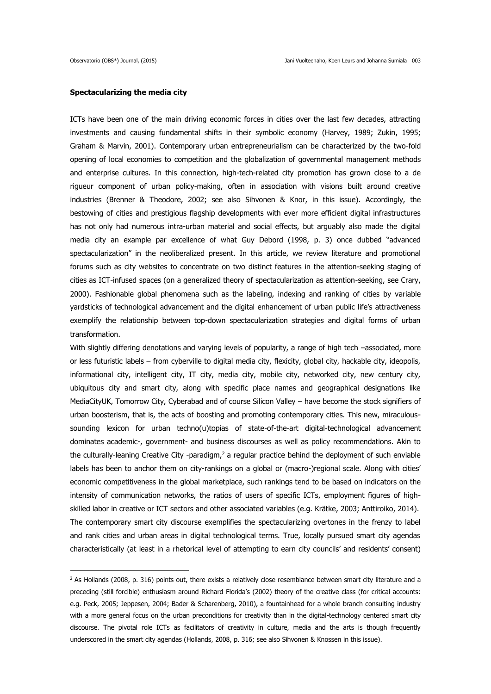## **Spectacularizing the media city**

ICTs have been one of the main driving economic forces in cities over the last few decades, attracting investments and causing fundamental shifts in their symbolic economy (Harvey, 1989; Zukin, 1995; Graham & Marvin, 2001). Contemporary urban entrepreneurialism can be characterized by the two-fold opening of local economies to competition and the globalization of governmental management methods and enterprise cultures. In this connection, high-tech-related city promotion has grown close to a de rigueur component of urban policy-making, often in association with visions built around creative industries (Brenner & Theodore, 2002; see also Sihvonen & Knor, in this issue). Accordingly, the bestowing of cities and prestigious flagship developments with ever more efficient digital infrastructures has not only had numerous intra-urban material and social effects, but arguably also made the digital media city an example par excellence of what Guy Debord (1998, p. 3) once dubbed "advanced spectacularization" in the neoliberalized present. In this article, we review literature and promotional forums such as city websites to concentrate on two distinct features in the attention-seeking staging of cities as ICT-infused spaces (on a generalized theory of spectacularization as attention-seeking, see Crary, 2000). Fashionable global phenomena such as the labeling, indexing and ranking of cities by variable yardsticks of technological advancement and the digital enhancement of urban public life's attractiveness exemplify the relationship between top-down spectacularization strategies and digital forms of urban transformation.

With slightly differing denotations and varying levels of popularity, a range of high tech –associated, more or less futuristic labels – from cyberville to digital media city, flexicity, global city, hackable city, ideopolis, informational city, intelligent city, IT city, media city, mobile city, networked city, new century city, ubiquitous city and smart city, along with specific place names and geographical designations like MediaCityUK, Tomorrow City, Cyberabad and of course Silicon Valley – have become the stock signifiers of urban boosterism, that is, the acts of boosting and promoting contemporary cities. This new, miraculoussounding lexicon for urban techno(u)topias of state-of-the-art digital-technological advancement dominates academic-, government- and business discourses as well as policy recommendations. Akin to the culturally-leaning Creative City -paradigm,<sup>2</sup> a regular practice behind the deployment of such enviable labels has been to anchor them on city-rankings on a global or (macro-)regional scale. Along with cities' economic competitiveness in the global marketplace, such rankings tend to be based on indicators on the intensity of communication networks, the ratios of users of specific ICTs, employment figures of highskilled labor in creative or ICT sectors and other associated variables (e.g. Krätke, 2003; Anttiroiko, 2014). The contemporary smart city discourse exemplifies the spectacularizing overtones in the frenzy to label and rank cities and urban areas in digital technological terms. True, locally pursued smart city agendas characteristically (at least in a rhetorical level of attempting to earn city councils' and residents' consent)

<sup>&</sup>lt;sup>2</sup> As Hollands (2008, p. 316) points out, there exists a relatively close resemblance between smart city literature and a preceding (still forcible) enthusiasm around Richard Florida's (2002) theory of the creative class (for critical accounts: e.g. Peck, 2005; Jeppesen, 2004; Bader & Scharenberg, 2010), a fountainhead for a whole branch consulting industry with a more general focus on the urban preconditions for creativity than in the digital-technology centered smart city discourse. The pivotal role ICTs as facilitators of creativity in culture, media and the arts is though frequently underscored in the smart city agendas (Hollands, 2008, p. 316; see also Sihvonen & Knossen in this issue).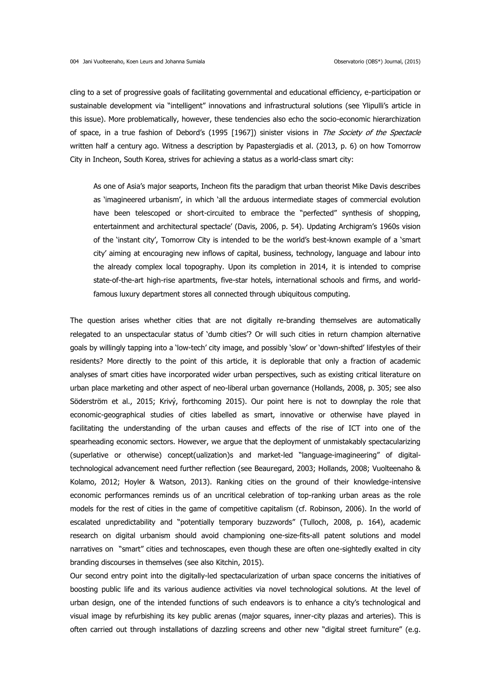cling to a set of progressive goals of facilitating governmental and educational efficiency, e-participation or sustainable development via "intelligent" innovations and infrastructural solutions (see Ylipulli's article in this issue). More problematically, however, these tendencies also echo the socio-economic hierarchization of space, in a true fashion of Debord's (1995 [1967]) sinister visions in The Society of the Spectacle written half a century ago. Witness a description by Papastergiadis et al. (2013, p. 6) on how Tomorrow City in Incheon, South Korea, strives for achieving a status as a world-class smart city:

As one of Asia's major seaports, Incheon fits the paradigm that urban theorist Mike Davis describes as 'imagineered urbanism', in which 'all the arduous intermediate stages of commercial evolution have been telescoped or short-circuited to embrace the "perfected" synthesis of shopping, entertainment and architectural spectacle' (Davis, 2006, p. 54). Updating Archigram's 1960s vision of the 'instant city', Tomorrow City is intended to be the world's best-known example of a 'smart city' aiming at encouraging new inflows of capital, business, technology, language and labour into the already complex local topography. Upon its completion in 2014, it is intended to comprise state-of-the-art high-rise apartments, five-star hotels, international schools and firms, and worldfamous luxury department stores all connected through ubiquitous computing.

The question arises whether cities that are not digitally re-branding themselves are automatically relegated to an unspectacular status of 'dumb cities'? Or will such cities in return champion alternative goals by willingly tapping into a 'low-tech' city image, and possibly 'slow' or 'down-shifted' lifestyles of their residents? More directly to the point of this article, it is deplorable that only a fraction of academic analyses of smart cities have incorporated wider urban perspectives, such as existing critical literature on urban place marketing and other aspect of neo-liberal urban governance (Hollands, 2008, p. 305; see also Söderström et al., 2015; Krivý, forthcoming 2015). Our point here is not to downplay the role that economic-geographical studies of cities labelled as smart, innovative or otherwise have played in facilitating the understanding of the urban causes and effects of the rise of ICT into one of the spearheading economic sectors. However, we argue that the deployment of unmistakably spectacularizing (superlative or otherwise) concept(ualization)s and market-led "language-imagineering" of digitaltechnological advancement need further reflection (see Beauregard, 2003; Hollands, 2008; Vuolteenaho & Kolamo, 2012; Hoyler & Watson, 2013). Ranking cities on the ground of their knowledge-intensive economic performances reminds us of an uncritical celebration of top-ranking urban areas as the role models for the rest of cities in the game of competitive capitalism (cf. Robinson, 2006). In the world of escalated unpredictability and "potentially temporary buzzwords" (Tulloch, 2008, p. 164), academic research on digital urbanism should avoid championing one-size-fits-all patent solutions and model narratives on "smart" cities and technoscapes, even though these are often one-sightedly exalted in city branding discourses in themselves (see also Kitchin, 2015).

Our second entry point into the digitally-led spectacularization of urban space concerns the initiatives of boosting public life and its various audience activities via novel technological solutions. At the level of urban design, one of the intended functions of such endeavors is to enhance a city's technological and visual image by refurbishing its key public arenas (major squares, inner-city plazas and arteries). This is often carried out through installations of dazzling screens and other new "digital street furniture" (e.g.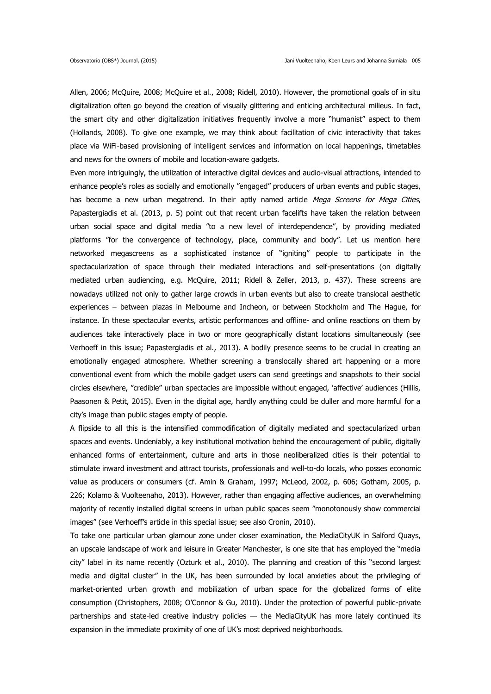Allen, 2006; McQuire, 2008; McQuire et al., 2008; Ridell, 2010). However, the promotional goals of in situ digitalization often go beyond the creation of visually glittering and enticing architectural milieus. In fact, the smart city and other digitalization initiatives frequently involve a more "humanist" aspect to them (Hollands, 2008). To give one example, we may think about facilitation of civic interactivity that takes place via WiFi-based provisioning of intelligent services and information on local happenings, timetables and news for the owners of mobile and location-aware gadgets.

Even more intriguingly, the utilization of interactive digital devices and audio-visual attractions, intended to enhance people's roles as socially and emotionally "engaged" producers of urban events and public stages, has become a new urban megatrend. In their aptly named article Mega Screens for Mega Cities, Papastergiadis et al. (2013, p. 5) point out that recent urban facelifts have taken the relation between urban social space and digital media "to a new level of interdependence", by providing mediated platforms "for the convergence of technology, place, community and body". Let us mention here networked megascreens as a sophisticated instance of "igniting" people to participate in the spectacularization of space through their mediated interactions and self-presentations (on digitally mediated urban audiencing, e.g. McQuire, 2011; Ridell & Zeller, 2013, p. 437). These screens are nowadays utilized not only to gather large crowds in urban events but also to create translocal aesthetic experiences – between plazas in Melbourne and Incheon, or between Stockholm and The Hague, for instance. In these spectacular events, artistic performances and offline- and online reactions on them by audiences take interactively place in two or more geographically distant locations simultaneously (see Verhoeff in this issue; Papastergiadis et al., 2013). A bodily presence seems to be crucial in creating an emotionally engaged atmosphere. Whether screening a translocally shared art happening or a more conventional event from which the mobile gadget users can send greetings and snapshots to their social circles elsewhere, "credible" urban spectacles are impossible without engaged, 'affective' audiences (Hillis, Paasonen & Petit, 2015). Even in the digital age, hardly anything could be duller and more harmful for a city's image than public stages empty of people.

A flipside to all this is the intensified commodification of digitally mediated and spectacularized urban spaces and events. Undeniably, a key institutional motivation behind the encouragement of public, digitally enhanced forms of entertainment, culture and arts in those neoliberalized cities is their potential to stimulate inward investment and attract tourists, professionals and well-to-do locals, who posses economic value as producers or consumers (cf. Amin & Graham, 1997; McLeod, 2002, p. 606; Gotham, 2005, p. 226; Kolamo & Vuolteenaho, 2013). However, rather than engaging affective audiences, an overwhelming majority of recently installed digital screens in urban public spaces seem "monotonously show commercial images" (see Verhoeff's article in this special issue; see also Cronin, 2010).

To take one particular urban glamour zone under closer examination, the MediaCityUK in Salford Quays, an upscale landscape of work and leisure in Greater Manchester, is one site that has employed the "media city" label in its name recently (Ozturk et al., 2010). The planning and creation of this "second largest media and digital cluster" in the UK, has been surrounded by local anxieties about the privileging of market-oriented urban growth and mobilization of urban space for the globalized forms of elite consumption (Christophers, 2008; O'Connor & Gu, 2010). Under the protection of powerful public-private partnerships and state-led creative industry policies — the MediaCityUK has more lately continued its expansion in the immediate proximity of one of UK's most deprived neighborhoods.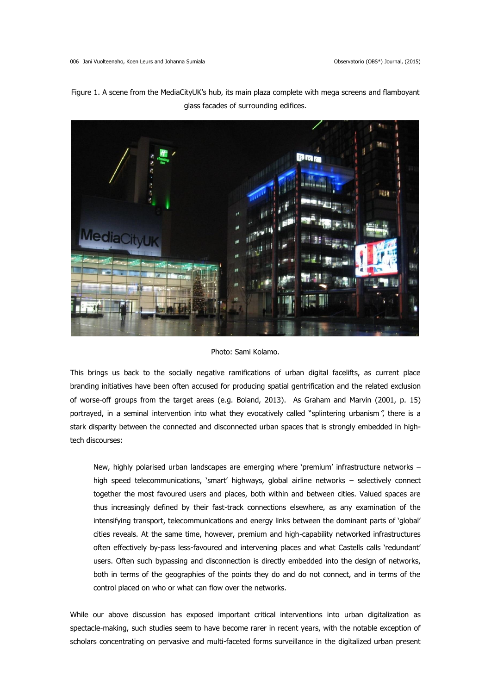

Figure 1. A scene from the MediaCityUK's hub, its main plaza complete with mega screens and flamboyant glass facades of surrounding edifices.

# Photo: Sami Kolamo.

This brings us back to the socially negative ramifications of urban digital facelifts, as current place branding initiatives have been often accused for producing spatial gentrification and the related exclusion of worse-off groups from the target areas (e.g. Boland, 2013). As Graham and Marvin (2001, p. 15) portrayed, in a seminal intervention into what they evocatively called "splintering urbanism", there is a stark disparity between the connected and disconnected urban spaces that is strongly embedded in hightech discourses:

New, highly polarised urban landscapes are emerging where 'premium' infrastructure networks – high speed telecommunications, 'smart' highways, global airline networks – selectively connect together the most favoured users and places, both within and between cities. Valued spaces are thus increasingly defined by their fast-track connections elsewhere, as any examination of the intensifying transport, telecommunications and energy links between the dominant parts of 'global' cities reveals. At the same time, however, premium and high-capability networked infrastructures often effectively by-pass less-favoured and intervening places and what Castells calls 'redundant' users. Often such bypassing and disconnection is directly embedded into the design of networks, both in terms of the geographies of the points they do and do not connect, and in terms of the control placed on who or what can flow over the networks.

While our above discussion has exposed important critical interventions into urban digitalization as spectacle-making, such studies seem to have become rarer in recent years, with the notable exception of scholars concentrating on pervasive and multi-faceted forms surveillance in the digitalized urban present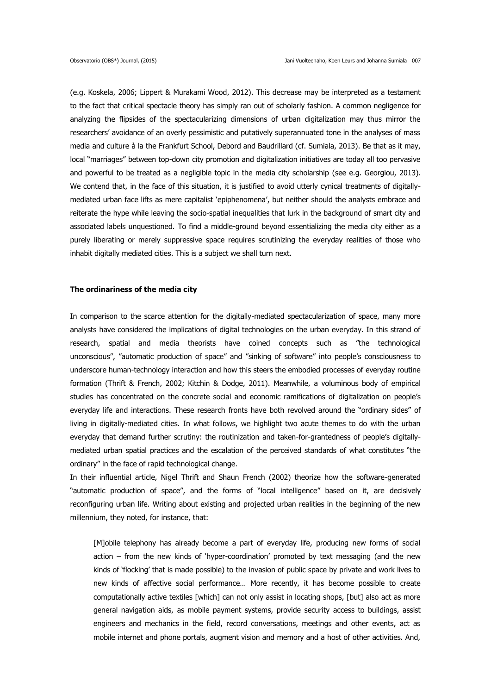(e.g. Koskela, 2006; Lippert & Murakami Wood, 2012). This decrease may be interpreted as a testament to the fact that critical spectacle theory has simply ran out of scholarly fashion. A common negligence for analyzing the flipsides of the spectacularizing dimensions of urban digitalization may thus mirror the researchers' avoidance of an overly pessimistic and putatively superannuated tone in the analyses of mass media and culture à la the Frankfurt School, Debord and Baudrillard (cf. Sumiala, 2013). Be that as it may, local "marriages" between top-down city promotion and digitalization initiatives are today all too pervasive and powerful to be treated as a negligible topic in the media city scholarship (see e.g. Georgiou, 2013). We contend that, in the face of this situation, it is justified to avoid utterly cynical treatments of digitallymediated urban face lifts as mere capitalist 'epiphenomena', but neither should the analysts embrace and reiterate the hype while leaving the socio-spatial inequalities that lurk in the background of smart city and associated labels unquestioned. To find a middle-ground beyond essentializing the media city either as a purely liberating or merely suppressive space requires scrutinizing the everyday realities of those who inhabit digitally mediated cities. This is a subject we shall turn next.

# **The ordinariness of the media city**

In comparison to the scarce attention for the digitally-mediated spectacularization of space, many more analysts have considered the implications of digital technologies on the urban everyday. In this strand of research, spatial and media theorists have coined concepts such as "the technological unconscious", "automatic production of space" and "sinking of software" into people's consciousness to underscore human-technology interaction and how this steers the embodied processes of everyday routine formation (Thrift & French, 2002; Kitchin & Dodge, 2011). Meanwhile, a voluminous body of empirical studies has concentrated on the concrete social and economic ramifications of digitalization on people's everyday life and interactions. These research fronts have both revolved around the "ordinary sides" of living in digitally-mediated cities. In what follows, we highlight two acute themes to do with the urban everyday that demand further scrutiny: the routinization and taken-for-grantedness of people's digitallymediated urban spatial practices and the escalation of the perceived standards of what constitutes "the ordinary" in the face of rapid technological change.

In their influential article, Nigel Thrift and Shaun French (2002) theorize how the software-generated "automatic production of space", and the forms of "local intelligence" based on it, are decisively reconfiguring urban life. Writing about existing and projected urban realities in the beginning of the new millennium, they noted, for instance, that:

[M]obile telephony has already become a part of everyday life, producing new forms of social action – from the new kinds of 'hyper-coordination' promoted by text messaging (and the new kinds of 'flocking' that is made possible) to the invasion of public space by private and work lives to new kinds of affective social performance… More recently, it has become possible to create computationally active textiles [which] can not only assist in locating shops, [but] also act as more general navigation aids, as mobile payment systems, provide security access to buildings, assist engineers and mechanics in the field, record conversations, meetings and other events, act as mobile internet and phone portals, augment vision and memory and a host of other activities. And,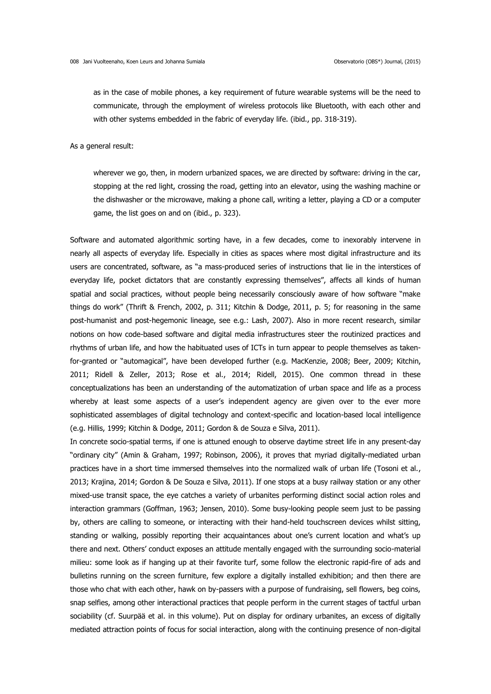as in the case of mobile phones, a key requirement of future wearable systems will be the need to communicate, through the employment of wireless protocols like Bluetooth, with each other and with other systems embedded in the fabric of everyday life. (ibid., pp. 318-319).

As a general result:

wherever we go, then, in modern urbanized spaces, we are directed by software: driving in the car, stopping at the red light, crossing the road, getting into an elevator, using the washing machine or the dishwasher or the microwave, making a phone call, writing a letter, playing a CD or a computer game, the list goes on and on (ibid., p. 323).

Software and automated algorithmic sorting have, in a few decades, come to inexorably intervene in nearly all aspects of everyday life. Especially in cities as spaces where most digital infrastructure and its users are concentrated, software, as "a mass-produced series of instructions that lie in the interstices of everyday life, pocket dictators that are constantly expressing themselves", affects all kinds of human spatial and social practices, without people being necessarily consciously aware of how software "make things do work" (Thrift & French, 2002, p. 311; Kitchin & Dodge, 2011, p. 5; for reasoning in the same post-humanist and post-hegemonic lineage, see e.g.: Lash, 2007). Also in more recent research, similar notions on how code-based software and digital media infrastructures steer the routinized practices and rhythms of urban life, and how the habituated uses of ICTs in turn appear to people themselves as takenfor-granted or "automagical", have been developed further (e.g. MacKenzie, 2008; Beer, 2009; Kitchin, 2011; Ridell & Zeller, 2013; Rose et al., 2014; Ridell, 2015). One common thread in these conceptualizations has been an understanding of the automatization of urban space and life as a process whereby at least some aspects of a user's independent agency are given over to the ever more sophisticated assemblages of digital technology and context-specific and location-based local intelligence (e.g. Hillis, 1999; Kitchin & Dodge, 2011; Gordon & de Souza e Silva, 2011).

In concrete socio-spatial terms, if one is attuned enough to observe daytime street life in any present-day "ordinary city" (Amin & Graham, 1997; Robinson, 2006), it proves that myriad digitally-mediated urban practices have in a short time immersed themselves into the normalized walk of urban life (Tosoni et al., 2013; Krajina, 2014; Gordon & De Souza e Silva, 2011). If one stops at a busy railway station or any other mixed-use transit space, the eye catches a variety of urbanites performing distinct social action roles and interaction grammars (Goffman, 1963; Jensen, 2010). Some busy-looking people seem just to be passing by, others are calling to someone, or interacting with their hand-held touchscreen devices whilst sitting, standing or walking, possibly reporting their acquaintances about one's current location and what's up there and next. Others' conduct exposes an attitude mentally engaged with the surrounding socio-material milieu: some look as if hanging up at their favorite turf, some follow the electronic rapid-fire of ads and bulletins running on the screen furniture, few explore a digitally installed exhibition; and then there are those who chat with each other, hawk on by-passers with a purpose of fundraising, sell flowers, beg coins, snap selfies, among other interactional practices that people perform in the current stages of tactful urban sociability (cf. Suurpää et al. in this volume). Put on display for ordinary urbanites, an excess of digitally mediated attraction points of focus for social interaction, along with the continuing presence of non-digital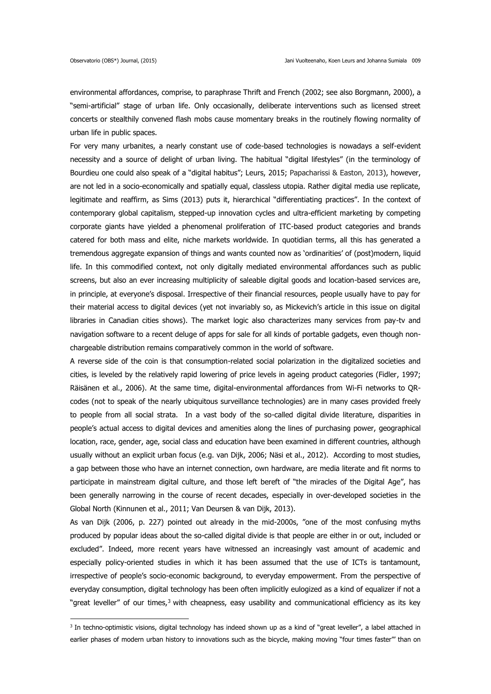environmental affordances, comprise, to paraphrase Thrift and French (2002; see also Borgmann, 2000), a "semi-artificial" stage of urban life. Only occasionally, deliberate interventions such as licensed street concerts or stealthily convened flash mobs cause momentary breaks in the routinely flowing normality of urban life in public spaces.

For very many urbanites, a nearly constant use of code-based technologies is nowadays a self-evident necessity and a source of delight of urban living. The habitual "digital lifestyles" (in the terminology of Bourdieu one could also speak of a "digital habitus"; Leurs, 2015; Papacharissi & Easton, 2013), however, are not led in a socio-economically and spatially equal, classless utopia. Rather digital media use replicate, legitimate and reaffirm, as Sims (2013) puts it, hierarchical "differentiating practices". In the context of contemporary global capitalism, stepped-up innovation cycles and ultra-efficient marketing by competing corporate giants have yielded a phenomenal proliferation of ITC-based product categories and brands catered for both mass and elite, niche markets worldwide. In quotidian terms, all this has generated a tremendous aggregate expansion of things and wants counted now as 'ordinarities' of (post)modern, liquid life. In this commodified context, not only digitally mediated environmental affordances such as public screens, but also an ever increasing multiplicity of saleable digital goods and location-based services are, in principle, at everyone's disposal. Irrespective of their financial resources, people usually have to pay for their material access to digital devices (yet not invariably so, as Mickevich's article in this issue on digital libraries in Canadian cities shows). The market logic also characterizes many services from pay-tv and navigation software to a recent deluge of apps for sale for all kinds of portable gadgets, even though nonchargeable distribution remains comparatively common in the world of software.

A reverse side of the coin is that consumption-related social polarization in the digitalized societies and cities, is leveled by the relatively rapid lowering of price levels in ageing product categories (Fidler, 1997; Räisänen et al., 2006). At the same time, digital-environmental affordances from Wi-Fi networks to QRcodes (not to speak of the nearly ubiquitous surveillance technologies) are in many cases provided freely to people from all social strata. In a vast body of the so-called digital divide literature, disparities in people's actual access to digital devices and amenities along the lines of purchasing power, geographical location, race, gender, age, social class and education have been examined in different countries, although usually without an explicit urban focus (e.g. van Dijk, 2006; Näsi et al., 2012). According to most studies, a gap between those who have an internet connection, own hardware, are media literate and fit norms to participate in mainstream digital culture, and those left bereft of "the miracles of the Digital Age", has been generally narrowing in the course of recent decades, especially in over-developed societies in the Global North (Kinnunen et al., 2011; Van Deursen & van Dijk, 2013).

As van Dijk (2006, p. 227) pointed out already in the mid-2000s, "one of the most confusing myths produced by popular ideas about the so-called digital divide is that people are either in or out, included or excluded". Indeed, more recent years have witnessed an increasingly vast amount of academic and especially policy-oriented studies in which it has been assumed that the use of ICTs is tantamount, irrespective of people's socio-economic background, to everyday empowerment. From the perspective of everyday consumption, digital technology has been often implicitly eulogized as a kind of equalizer if not a "great leveller" of our times,<sup>3</sup> with cheapness, easy usability and communicational efficiency as its key

<sup>3</sup> In techno-optimistic visions, digital technology has indeed shown up as a kind of "great leveller", a label attached in earlier phases of modern urban history to innovations such as the bicycle, making moving "four times faster"' than on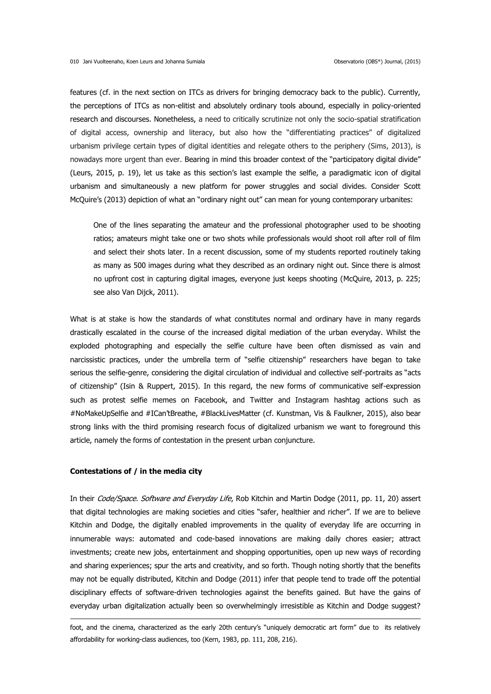features (cf. in the next section on ITCs as drivers for bringing democracy back to the public). Currently, the perceptions of ITCs as non-elitist and absolutely ordinary tools abound, especially in policy-oriented research and discourses. Nonetheless, a need to critically scrutinize not only the socio-spatial stratification of digital access, ownership and literacy, but also how the "differentiating practices" of digitalized urbanism privilege certain types of digital identities and relegate others to the periphery (Sims, 2013), is nowadays more urgent than ever. Bearing in mind this broader context of the "participatory digital divide" (Leurs, 2015, p. 19), let us take as this section's last example the selfie, a paradigmatic icon of digital urbanism and simultaneously a new platform for power struggles and social divides. Consider Scott McQuire's (2013) depiction of what an "ordinary night out" can mean for young contemporary urbanites:

One of the lines separating the amateur and the professional photographer used to be shooting ratios; amateurs might take one or two shots while professionals would shoot roll after roll of film and select their shots later. In a recent discussion, some of my students reported routinely taking as many as 500 images during what they described as an ordinary night out. Since there is almost no upfront cost in capturing digital images, everyone just keeps shooting (McQuire, 2013, p. 225; see also Van Dijck, 2011).

What is at stake is how the standards of what constitutes normal and ordinary have in many regards drastically escalated in the course of the increased digital mediation of the urban everyday. Whilst the exploded photographing and especially the selfie culture have been often dismissed as vain and narcissistic practices, under the umbrella term of "selfie citizenship" researchers have began to take serious the selfie-genre, considering the digital circulation of individual and collective self-portraits as "acts of citizenship" (Isin & Ruppert, 2015). In this regard, the new forms of communicative self-expression such as protest selfie memes on Facebook, and Twitter and Instagram hashtag actions such as #NoMakeUpSelfie and #ICan'tBreathe, #BlackLivesMatter (cf. Kunstman, Vis & Faulkner, 2015), also bear strong links with the third promising research focus of digitalized urbanism we want to foreground this article, namely the forms of contestation in the present urban conjuncture.

## **Contestations of / in the media city**

1

In their Code/Space. Software and Everyday Life, Rob Kitchin and Martin Dodge (2011, pp. 11, 20) assert that digital technologies are making societies and cities "safer, healthier and richer". If we are to believe Kitchin and Dodge, the digitally enabled improvements in the quality of everyday life are occurring in innumerable ways: automated and code-based innovations are making daily chores easier; attract investments; create new jobs, entertainment and shopping opportunities, open up new ways of recording and sharing experiences; spur the arts and creativity, and so forth. Though noting shortly that the benefits may not be equally distributed, Kitchin and Dodge (2011) infer that people tend to trade off the potential disciplinary effects of software-driven technologies against the benefits gained. But have the gains of everyday urban digitalization actually been so overwhelmingly irresistible as Kitchin and Dodge suggest?

foot, and the cinema, characterized as the early 20th century's "uniquely democratic art form" due to its relatively affordability for working-class audiences, too (Kern, 1983, pp. 111, 208, 216).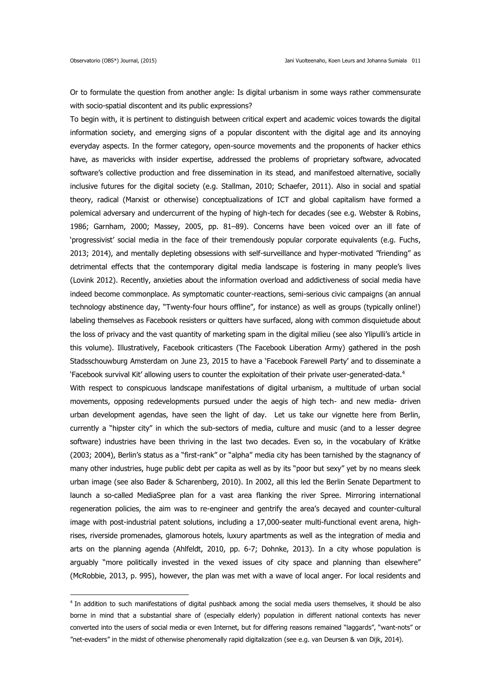Or to formulate the question from another angle: Is digital urbanism in some ways rather commensurate with socio-spatial discontent and its public expressions?

To begin with, it is pertinent to distinguish between critical expert and academic voices towards the digital information society, and emerging signs of a popular discontent with the digital age and its annoying everyday aspects. In the former category, open-source movements and the proponents of hacker ethics have, as mavericks with insider expertise, addressed the problems of proprietary software, advocated software's collective production and free dissemination in its stead, and manifestoed alternative, socially inclusive futures for the digital society (e.g. Stallman, 2010; Schaefer, 2011). Also in social and spatial theory, radical (Marxist or otherwise) conceptualizations of ICT and global capitalism have formed a polemical adversary and undercurrent of the hyping of high-tech for decades (see e.g. Webster & Robins, 1986; Garnham, 2000; Massey, 2005, pp. 81–89). Concerns have been voiced over an ill fate of 'progressivist' social media in the face of their tremendously popular corporate equivalents (e.g. Fuchs, 2013; 2014), and mentally depleting obsessions with self-surveillance and hyper-motivated "friending" as detrimental effects that the contemporary digital media landscape is fostering in many people's lives (Lovink 2012). Recently, anxieties about the information overload and addictiveness of social media have indeed become commonplace. As symptomatic counter-reactions, semi-serious civic campaigns (an annual technology abstinence day, "Twenty-four hours offline", for instance) as well as groups (typically online!) labeling themselves as Facebook resisters or quitters have surfaced, along with common disquietude about the loss of privacy and the vast quantity of marketing spam in the digital milieu (see also Ylipulli's article in this volume). Illustratively, Facebook criticasters (The Facebook Liberation Army) gathered in the posh Stadsschouwburg Amsterdam on June 23, 2015 to have a 'Facebook Farewell Party' and to disseminate a 'Facebook survival Kit' allowing users to counter the exploitation of their private user-generated-data.<sup>4</sup> With respect to conspicuous landscape manifestations of digital urbanism, a multitude of urban social movements, opposing redevelopments pursued under the aegis of high tech- and new media- driven urban development agendas, have seen the light of day. Let us take our vignette here from Berlin,

currently a "hipster city" in which the sub-sectors of media, culture and music (and to a lesser degree software) industries have been thriving in the last two decades. Even so, in the vocabulary of Krätke (2003; 2004), Berlin's status as a "first-rank" or "alpha" media city has been tarnished by the stagnancy of many other industries, huge public debt per capita as well as by its "poor but sexy" yet by no means sleek urban image (see also Bader & Scharenberg, 2010). In 2002, all this led the Berlin Senate Department to launch a so-called MediaSpree plan for a vast area flanking the river Spree. Mirroring international regeneration policies, the aim was to re-engineer and gentrify the area's decayed and counter-cultural image with post-industrial patent solutions, including a 17,000-seater multi-functional event arena, highrises, riverside promenades, glamorous hotels, luxury apartments as well as the integration of media and arts on the planning agenda (Ahlfeldt, 2010, pp. 6-7; Dohnke, 2013). In a city whose population is arguably "more politically invested in the vexed issues of city space and planning than elsewhere" (McRobbie, 2013, p. 995), however, the plan was met with a wave of local anger. For local residents and

<sup>4</sup> In addition to such manifestations of digital pushback among the social media users themselves, it should be also borne in mind that a substantial share of (especially elderly) population in different national contexts has never converted into the users of social media or even Internet, but for differing reasons remained "laggards", "want-nots" or "net-evaders" in the midst of otherwise phenomenally rapid digitalization (see e.g. van Deursen & van Dijk, 2014).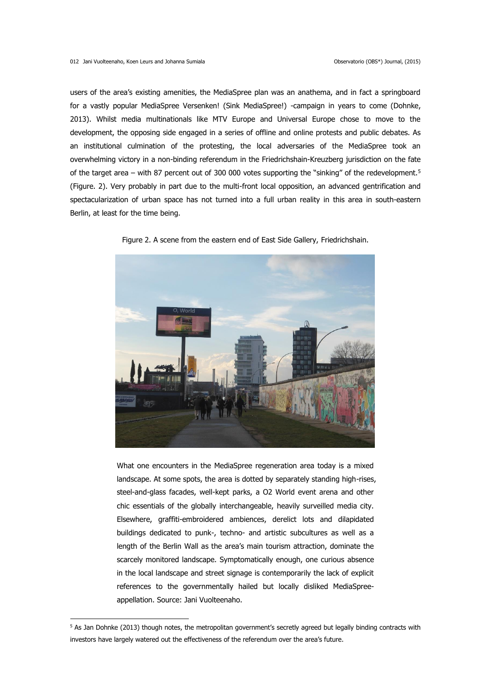users of the area's existing amenities, the MediaSpree plan was an anathema, and in fact a springboard for a vastly popular MediaSpree Versenken! (Sink MediaSpree!) -campaign in years to come (Dohnke, 2013). Whilst media multinationals like MTV Europe and Universal Europe chose to move to the development, the opposing side engaged in a series of offline and online protests and public debates. As an institutional culmination of the protesting, the local adversaries of the MediaSpree took an overwhelming victory in a non-binding referendum in the Friedrichshain-Kreuzberg jurisdiction on the fate of the target area – with 87 percent out of 300 000 votes supporting the "sinking" of the redevelopment.<sup>5</sup> (Figure. 2). Very probably in part due to the multi-front local opposition, an advanced gentrification and spectacularization of urban space has not turned into a full urban reality in this area in south-eastern Berlin, at least for the time being.



Figure 2. A scene from the eastern end of East Side Gallery, Friedrichshain.

What one encounters in the MediaSpree regeneration area today is a mixed landscape. At some spots, the area is dotted by separately standing high-rises, steel-and-glass facades, well-kept parks, a O2 World event arena and other chic essentials of the globally interchangeable, heavily surveilled media city. Elsewhere, graffiti-embroidered ambiences, derelict lots and dilapidated buildings dedicated to punk-, techno- and artistic subcultures as well as a length of the Berlin Wall as the area's main tourism attraction, dominate the scarcely monitored landscape. Symptomatically enough, one curious absence in the local landscape and street signage is contemporarily the lack of explicit references to the governmentally hailed but locally disliked MediaSpreeappellation. Source: Jani Vuolteenaho.

1

<sup>&</sup>lt;sup>5</sup> As Jan Dohnke (2013) though notes, the metropolitan government's secretly agreed but legally binding contracts with investors have largely watered out the effectiveness of the referendum over the area's future.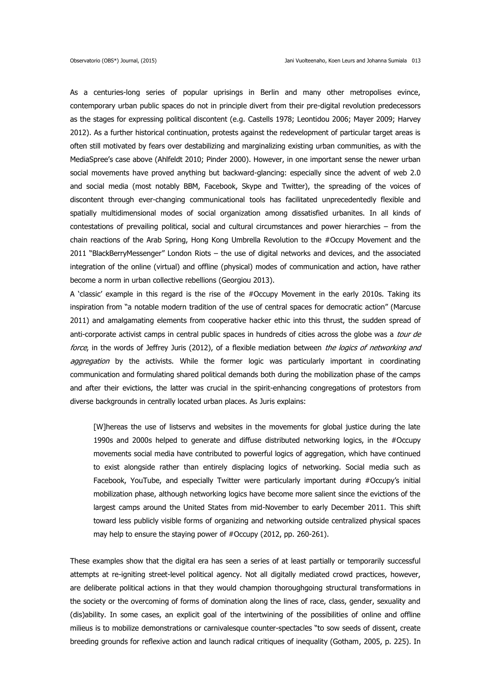As a centuries-long series of popular uprisings in Berlin and many other metropolises evince, contemporary urban public spaces do not in principle divert from their pre-digital revolution predecessors as the stages for expressing political discontent (e.g. Castells 1978; Leontidou 2006; Mayer 2009; Harvey 2012). As a further historical continuation, protests against the redevelopment of particular target areas is often still motivated by fears over destabilizing and marginalizing existing urban communities, as with the MediaSpree's case above (Ahlfeldt 2010; Pinder 2000). However, in one important sense the newer urban social movements have proved anything but backward-glancing: especially since the advent of web 2.0 and social media (most notably BBM, Facebook, Skype and Twitter), the spreading of the voices of discontent through ever-changing communicational tools has facilitated unprecedentedly flexible and spatially multidimensional modes of social organization among dissatisfied urbanites. In all kinds of contestations of prevailing political, social and cultural circumstances and power hierarchies – from the chain reactions of the Arab Spring, Hong Kong Umbrella Revolution to the #Occupy Movement and the 2011 "BlackBerryMessenger" London Riots – the use of digital networks and devices, and the associated integration of the online (virtual) and offline (physical) modes of communication and action, have rather become a norm in urban collective rebellions (Georgiou 2013).

A 'classic' example in this regard is the rise of the #Occupy Movement in the early 2010s. Taking its inspiration from "a notable modern tradition of the use of central spaces for democratic action" (Marcuse 2011) and amalgamating elements from cooperative hacker ethic into this thrust, the sudden spread of anti-corporate activist camps in central public spaces in hundreds of cities across the globe was a tour de force, in the words of Jeffrey Juris (2012), of a flexible mediation between the logics of networking and aggregation by the activists. While the former logic was particularly important in coordinating communication and formulating shared political demands both during the mobilization phase of the camps and after their evictions, the latter was crucial in the spirit-enhancing congregations of protestors from diverse backgrounds in centrally located urban places. As Juris explains:

[W]hereas the use of listservs and websites in the movements for global justice during the late 1990s and 2000s helped to generate and diffuse distributed networking logics, in the #Occupy movements social media have contributed to powerful logics of aggregation, which have continued to exist alongside rather than entirely displacing logics of networking. Social media such as Facebook, YouTube, and especially Twitter were particularly important during #Occupy's initial mobilization phase, although networking logics have become more salient since the evictions of the largest camps around the United States from mid-November to early December 2011. This shift toward less publicly visible forms of organizing and networking outside centralized physical spaces may help to ensure the staying power of #Occupy (2012, pp. 260-261).

These examples show that the digital era has seen a series of at least partially or temporarily successful attempts at re-igniting street-level political agency. Not all digitally mediated crowd practices, however, are deliberate political actions in that they would champion thoroughgoing structural transformations in the society or the overcoming of forms of domination along the lines of race, class, gender, sexuality and (dis)ability. In some cases, an explicit goal of the intertwining of the possibilities of online and offline milieus is to mobilize demonstrations or carnivalesque counter-spectacles "to sow seeds of dissent, create breeding grounds for reflexive action and launch radical critiques of inequality (Gotham, 2005, p. 225). In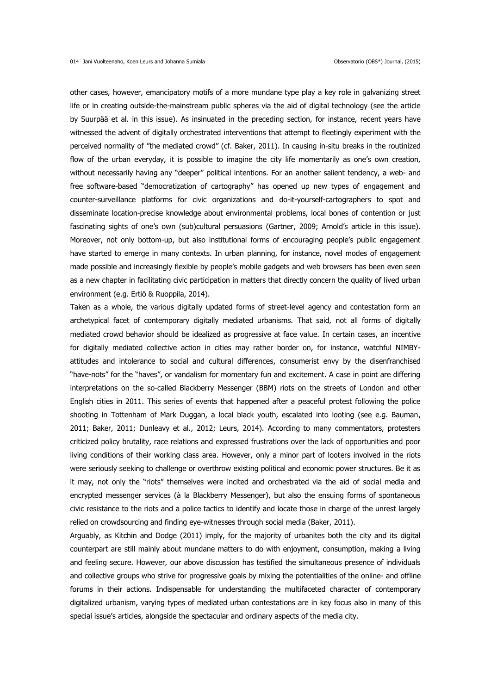other cases, however, emancipatory motifs of a more mundane type play a key role in galvanizing street life or in creating outside-the-mainstream public spheres via the aid of digital technology (see the article by Suurpää et al. in this issue). As insinuated in the preceding section, for instance, recent years have witnessed the advent of digitally orchestrated interventions that attempt to fleetingly experiment with the perceived normality of "the mediated crowd" (cf. Baker, 2011). In causing in-situ breaks in the routinized flow of the urban everyday, it is possible to imagine the city life momentarily as one's own creation, without necessarily having any "deeper" political intentions. For an another salient tendency, a web- and free software-based "democratization of cartography" has opened up new types of engagement and counter-surveillance platforms for civic organizations and do-it-yourself-cartographers to spot and disseminate location-precise knowledge about environmental problems, local bones of contention or just fascinating sights of one's own (sub)cultural persuasions (Gartner, 2009; Arnold's article in this issue). Moreover, not only bottom-up, but also institutional forms of encouraging people's public engagement have started to emerge in many contexts. In urban planning, for instance, novel modes of engagement made possible and increasingly flexible by people's mobile gadgets and web browsers has been even seen as a new chapter in facilitating civic participation in matters that directly concern the quality of lived urban environment (e.g. Ertiö & Ruoppila, 2014).

Taken as a whole, the various digitally updated forms of street-level agency and contestation form an archetypical facet of contemporary digitally mediated urbanisms. That said, not all forms of digitally mediated crowd behavior should be idealized as progressive at face value. In certain cases, an incentive for digitally mediated collective action in cities may rather border on, for instance, watchful NIMBYattitudes and intolerance to social and cultural differences, consumerist envy by the disenfranchised "have-nots" for the "haves", or vandalism for momentary fun and excitement. A case in point are differing interpretations on the so-called Blackberry Messenger (BBM) riots on the streets of London and other English cities in 2011. This series of events that happened after a peaceful protest following the police shooting in Tottenham of Mark Duggan, a local black youth, escalated into looting (see e.g. Bauman, 2011; Baker, 2011; Dunleavy et al., 2012; Leurs, 2014). According to many commentators, protesters criticized policy brutality, race relations and expressed frustrations over the lack of opportunities and poor living conditions of their working class area. However, only a minor part of looters involved in the riots were seriously seeking to challenge or overthrow existing political and economic power structures. Be it as it may, not only the "riots" themselves were incited and orchestrated via the aid of social media and encrypted messenger services (à la Blackberry Messenger), but also the ensuing forms of spontaneous civic resistance to the riots and a police tactics to identify and locate those in charge of the unrest largely relied on crowdsourcing and finding eye-witnesses through social media (Baker, 2011).

Arguably, as Kitchin and Dodge (2011) imply, for the majority of urbanites both the city and its digital counterpart are still mainly about mundane matters to do with enjoyment, consumption, making a living and feeling secure. However, our above discussion has testified the simultaneous presence of individuals and collective groups who strive for progressive goals by mixing the potentialities of the online- and offline forums in their actions. Indispensable for understanding the multifaceted character of contemporary digitalized urbanism, varying types of mediated urban contestations are in key focus also in many of this special issue's articles, alongside the spectacular and ordinary aspects of the media city.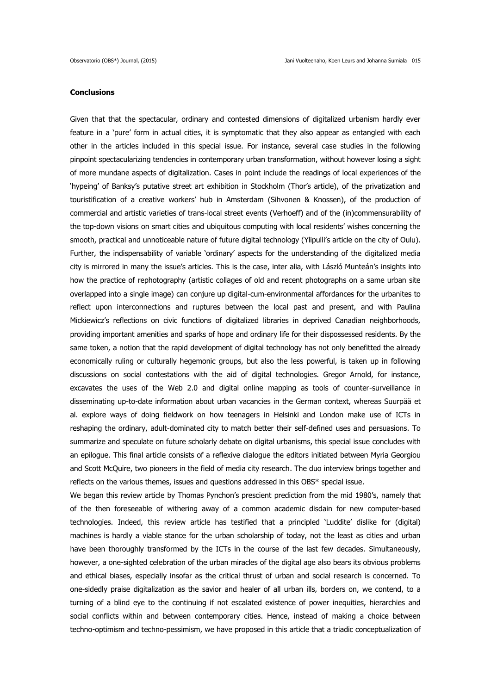# **Conclusions**

Given that that the spectacular, ordinary and contested dimensions of digitalized urbanism hardly ever feature in a 'pure' form in actual cities, it is symptomatic that they also appear as entangled with each other in the articles included in this special issue. For instance, several case studies in the following pinpoint spectacularizing tendencies in contemporary urban transformation, without however losing a sight of more mundane aspects of digitalization. Cases in point include the readings of local experiences of the 'hypeing' of Banksy's putative street art exhibition in Stockholm (Thor's article), of the privatization and touristification of a creative workers' hub in Amsterdam (Sihvonen & Knossen), of the production of commercial and artistic varieties of trans-local street events (Verhoeff) and of the (in)commensurability of the top-down visions on smart cities and ubiquitous computing with local residents' wishes concerning the smooth, practical and unnoticeable nature of future digital technology (Ylipulli's article on the city of Oulu). Further, the indispensability of variable 'ordinary' aspects for the understanding of the digitalized media city is mirrored in many the issue's articles. This is the case, inter alia, with László Munteán's insights into how the practice of rephotography (artistic collages of old and recent photographs on a same urban site overlapped into a single image) can conjure up digital-cum-environmental affordances for the urbanites to reflect upon interconnections and ruptures between the local past and present, and with Paulina Mickiewicz's reflections on civic functions of digitalized libraries in deprived Canadian neighborhoods, providing important amenities and sparks of hope and ordinary life for their dispossessed residents. By the same token, a notion that the rapid development of digital technology has not only benefitted the already economically ruling or culturally hegemonic groups, but also the less powerful, is taken up in following discussions on social contestations with the aid of digital technologies. Gregor Arnold, for instance, excavates the uses of the Web 2.0 and digital online mapping as tools of counter-surveillance in disseminating up-to-date information about urban vacancies in the German context, whereas Suurpää et al. explore ways of doing fieldwork on how teenagers in Helsinki and London make use of ICTs in reshaping the ordinary, adult-dominated city to match better their self-defined uses and persuasions. To summarize and speculate on future scholarly debate on digital urbanisms, this special issue concludes with an epilogue. This final article consists of a reflexive dialogue the editors initiated between Myria Georgiou and Scott McQuire, two pioneers in the field of media city research. The duo interview brings together and reflects on the various themes, issues and questions addressed in this OBS\* special issue.

We began this review article by Thomas Pynchon's prescient prediction from the mid 1980's, namely that of the then foreseeable of withering away of a common academic disdain for new computer-based technologies. Indeed, this review article has testified that a principled 'Luddite' dislike for (digital) machines is hardly a viable stance for the urban scholarship of today, not the least as cities and urban have been thoroughly transformed by the ICTs in the course of the last few decades. Simultaneously, however, a one-sighted celebration of the urban miracles of the digital age also bears its obvious problems and ethical biases, especially insofar as the critical thrust of urban and social research is concerned. To one-sidedly praise digitalization as the savior and healer of all urban ills, borders on, we contend, to a turning of a blind eye to the continuing if not escalated existence of power inequities, hierarchies and social conflicts within and between contemporary cities. Hence, instead of making a choice between techno-optimism and techno-pessimism, we have proposed in this article that a triadic conceptualization of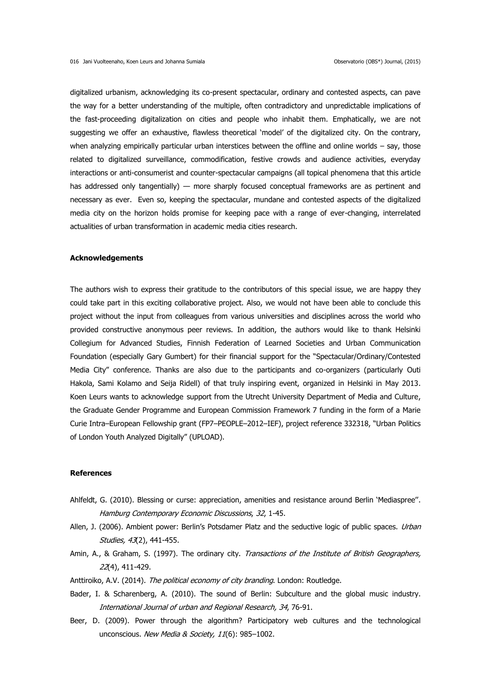digitalized urbanism, acknowledging its co-present spectacular, ordinary and contested aspects, can pave the way for a better understanding of the multiple, often contradictory and unpredictable implications of the fast-proceeding digitalization on cities and people who inhabit them. Emphatically, we are not suggesting we offer an exhaustive, flawless theoretical 'model' of the digitalized city. On the contrary, when analyzing empirically particular urban interstices between the offline and online worlds - say, those related to digitalized surveillance, commodification, festive crowds and audience activities, everyday interactions or anti-consumerist and counter-spectacular campaigns (all topical phenomena that this article has addressed only tangentially) — more sharply focused conceptual frameworks are as pertinent and necessary as ever. Even so, keeping the spectacular, mundane and contested aspects of the digitalized media city on the horizon holds promise for keeping pace with a range of ever-changing, interrelated actualities of urban transformation in academic media cities research.

## **Acknowledgements**

The authors wish to express their gratitude to the contributors of this special issue, we are happy they could take part in this exciting collaborative project. Also, we would not have been able to conclude this project without the input from colleagues from various universities and disciplines across the world who provided constructive anonymous peer reviews. In addition, the authors would like to thank Helsinki Collegium for Advanced Studies, Finnish Federation of Learned Societies and Urban Communication Foundation (especially Gary Gumbert) for their financial support for the "Spectacular/Ordinary/Contested Media City" conference. Thanks are also due to the participants and co-organizers (particularly Outi Hakola, Sami Kolamo and Seija Ridell) of that truly inspiring event, organized in Helsinki in May 2013. Koen Leurs wants to acknowledge support from the Utrecht University Department of Media and Culture, the Graduate Gender Programme and European Commission Framework 7 funding in the form of a Marie Curie Intra–European Fellowship grant (FP7–PEOPLE–2012–IEF), project reference 332318, "Urban Politics of London Youth Analyzed Digitally" (UPLOAD).

## **References**

- Ahlfeldt, G. (2010). Blessing or curse: appreciation, amenities and resistance around Berlin 'Mediaspree''. Hamburg Contemporary Economic Discussions, 32, 1-45.
- Allen, J. (2006). Ambient power: Berlin's Potsdamer Platz and the seductive logic of public spaces. Urban Studies, 43(2), 441-455.
- Amin, A., & Graham, S. (1997). The ordinary city. Transactions of the Institute of British Geographers, 22(4), 411-429.
- Anttiroiko, A.V. (2014). The political economy of city branding. London: Routledge.
- Bader, I. & Scharenberg, A. (2010). The sound of Berlin: Subculture and the global music industry. International Journal of urban and Regional Research, 34, 76-91.
- Beer, D. (2009). Power through the algorithm? Participatory web cultures and the technological unconscious. New Media & Society, 11(6): 985-1002.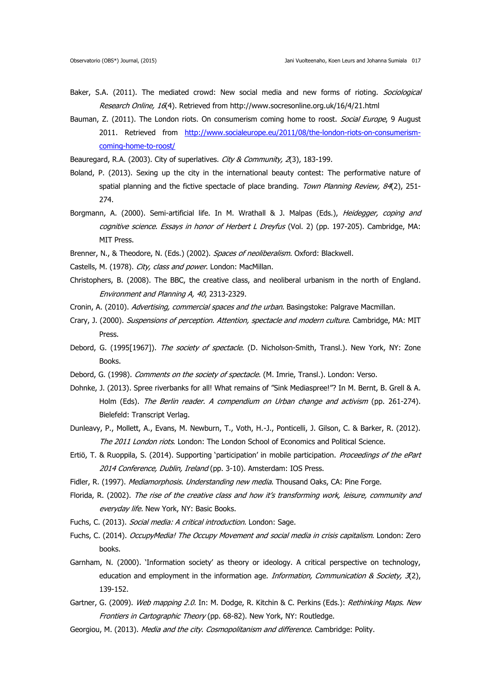- Baker, S.A. (2011). The mediated crowd: New social media and new forms of rioting. *Sociological* Research Online, 16(4). Retrieved from <http://www.socresonline.org.uk/16/4/21.html>
- Bauman, Z. (2011). The London riots. On consumerism coming home to roost. Social Europe, 9 August 2011. Retrieved from [http://www.socialeurope.eu/2011/08/the-london-riots-on-consumerism](http://www.socialeurope.eu/2011/08/the-london-riots-on-consumerism-coming-home-to-roost/)[coming-home-to-roost/](http://www.socialeurope.eu/2011/08/the-london-riots-on-consumerism-coming-home-to-roost/)

Beauregard, R.A. (2003). City of superlatives. City & Community, 2(3), 183-199.

- Boland, P. (2013). Sexing up the city in the international beauty contest: The performative nature of spatial planning and the fictive spectacle of place branding. Town Planning Review, 84(2), 251-274.
- Borgmann, A. (2000). Semi-artificial life. In M. Wrathall & J. Malpas (Eds.), *Heidegger, coping and* cognitive science. Essays in honor of Herbert L Dreyfus (Vol. 2) (pp. 197-205). Cambridge, MA: MIT Press.

Brenner, N., & Theodore, N. (Eds.) (2002). Spaces of neoliberalism. Oxford: Blackwell.

- Castells, M. (1978). City, class and power. London: MacMillan.
- Christophers, B. (2008). The BBC, the creative class, and neoliberal urbanism in the north of England. Environment and Planning A, 40, 2313-2329.
- Cronin, A. (2010). Advertising, commercial spaces and the urban. Basingstoke: Palgrave Macmillan.
- Crary, J. (2000). Suspensions of perception. Attention, spectacle and modern culture. Cambridge, MA: MIT Press.
- Debord, G. (1995[1967]). The society of spectacle. (D. Nicholson-Smith, Transl.). New York, NY: Zone Books.
- Debord, G. (1998). Comments on the society of spectacle. (M. Imrie, Transl.). London: Verso.
- Dohnke, J. (2013). Spree riverbanks for all! What remains of "Sink Mediaspree!"? In M. Bernt, B. Grell & A. Holm (Eds). The Berlin reader. A compendium on Urban change and activism (pp. 261-274). Bielefeld: Transcript Verlag.
- Dunleavy, P., Mollett, A., Evans, M. Newburn, T., Voth, H.-J., Ponticelli, J. Gilson, C. & Barker, R. (2012). The 2011 London riots. London: The London School of Economics and Political Science.
- Ertiö, T. & Ruoppila, S. (2014). Supporting 'participation' in mobile participation. Proceedings of the ePart 2014 Conference, Dublin, Ireland (pp. 3-10). Amsterdam: IOS Press.
- Fidler, R. (1997). Mediamorphosis. Understanding new media. Thousand Oaks, CA: Pine Forge.
- Florida, R. (2002). The rise of the creative class and how it's transforming work, leisure, community and everyday life. New York, NY: Basic Books.
- Fuchs, C. (2013). Social media: A critical introduction. London: Sage.
- Fuchs, C. (2014). OccupyMedia! The Occupy Movement and social media in crisis capitalism. London: Zero books.
- Garnham, N. (2000). 'Information society' as theory or ideology. A critical perspective on technology, education and employment in the information age. Information, Communication & Society,  $\mathcal{R}(2)$ , 139-152.
- Gartner, G. (2009). Web mapping 2.0. In: M. Dodge, R. Kitchin & C. Perkins (Eds.): Rethinking Maps. New Frontiers in Cartographic Theory (pp. 68-82). New York, NY: Routledge.
- Georgiou, M. (2013). Media and the city. Cosmopolitanism and difference. Cambridge: Polity.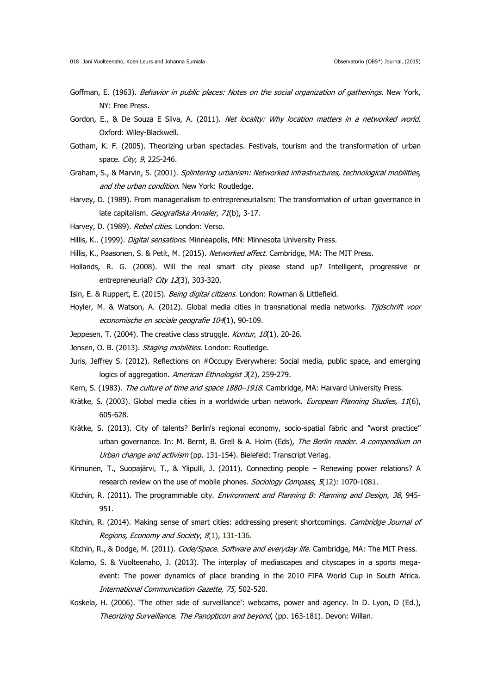- Goffman, E. (1963). Behavior in public places: Notes on the social organization of gatherings. New York, NY: Free Press.
- Gordon, E., & De Souza E Silva, A. (2011). Net locality: Why location matters in a networked world. Oxford: Wiley-Blackwell.
- Gotham, K. F. (2005). Theorizing urban spectacles. Festivals, tourism and the transformation of urban space. *City, 9*, 225-246.
- Graham, S., & Marvin, S. (2001). Splintering urbanism: Networked infrastructures, technological mobilities, and the urban condition. New York: Routledge.
- Harvey, D. (1989). From managerialism to entrepreneurialism: The transformation of urban governance in late capitalism. Geografiska Annaler, 71(b), 3-17.
- Harvey, D. (1989). Rebel cities. London: Verso.
- Hillis, K.. (1999). *Digital sensations*. Minneapolis, MN: Minnesota University Press.
- Hillis, K., Paasonen, S. & Petit, M. (2015). Networked affect. Cambridge, MA: The MIT Press.
- Hollands, R. G. (2008). Will the real smart city please stand up? Intelligent, progressive or entrepreneurial? City 12(3), 303-320.
- Isin, E. & Ruppert, E. (2015). Being digital citizens. London: Rowman & Littlefield.
- Hoyler, M. & Watson, A. (2012). Global media cities in transnational media networks. Tijdschrift voor economische en sociale geografie 104(1), 90-109.
- Jeppesen, T. (2004). The creative class struggle. Kontur,  $10(1)$ , 20-26.
- Jensen, O. B. (2013). Staging mobilities. London: Routledge.
- Juris, Jeffrey S. (2012). Reflections on #Occupy Everywhere: Social media, public space, and emerging logics of aggregation. American Ethnologist 3(2), 259-279.
- Kern, S. (1983). The culture of time and space 1880-1918. Cambridge, MA: Harvard University Press.
- Krätke, S. (2003). Global media cities in a worldwide urban network. European Planning Studies, 11(6), 605-628.
- Krätke, S. (2013). City of talents? Berlin's regional economy, socio-spatial fabric and "worst practice" urban governance. In: M. Bernt, B. Grell & A. Holm (Eds), The Berlin reader. A compendium on Urban change and activism (pp. 131-154). Bielefeld: Transcript Verlag.
- Kinnunen, T., Suopajärvi, T., & Ylipulli, J. (2011). Connecting people Renewing power relations? A research review on the use of mobile phones. Sociology Compass, 5(12): 1070-1081.
- Kitchin, R. (2011). The programmable city. *Environment and Planning B: Planning and Design, 38*, 945-951.
- Kitchin, R. (2014). Making sense of smart cities: addressing present shortcomings. Cambridge Journal of Regions, Economy and Society, 8(1), 131-136.
- Kitchin, R., & Dodge, M. (2011). Code/Space. Software and everyday life. Cambridge, MA: The MIT Press.
- Kolamo, S. & Vuolteenaho, J. (2013). The interplay of mediascapes and cityscapes in a sports megaevent: The power dynamics of place branding in the 2010 FIFA World Cup in South Africa. International Communication Gazette, 75, 502-520.
- Koskela, H. (2006). 'The other side of surveillance': webcams, power and agency. In D. Lyon, D (Ed.), Theorizing Surveillance. The Panopticon and beyond, (pp. 163-181). Devon: Willan.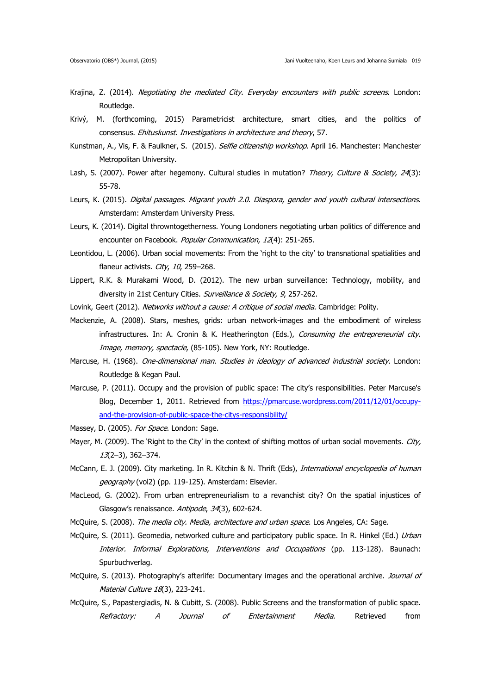- Krajina, Z. (2014). Negotiating the mediated City. Everyday encounters with public screens. London: Routledge.
- Krivý, M. (forthcoming, 2015) Parametricist architecture, smart cities, and the politics of consensus. Ehituskunst. Investigations in architecture and theory, 57.
- Kunstman, A., Vis, F. & Faulkner, S. (2015). Selfie citizenship workshop. April 16. Manchester: Manchester Metropolitan University.
- Lash, S. (2007). Power after hegemony. Cultural studies in mutation? Theory, Culture & Society, 24(3): 55-78.
- Leurs, K. (2015). Digital passages. Migrant youth 2.0. Diaspora, gender and youth cultural intersections. Amsterdam: Amsterdam University Press.
- Leurs, K. (2014). Digital throwntogetherness. Young Londoners negotiating urban politics of difference and encounter on Facebook. Popular Communication, 12(4): 251-265.
- Leontidou, L. (2006). Urban social movements: From the 'right to the city' to transnational spatialities and flaneur activists. City, 10, 259-268.
- Lippert, R.K. & Murakami Wood, D. (2012). The new urban surveillance: Technology, mobility, and diversity in 21st Century Cities. Surveillance & Society, 9, 257-262.
- Lovink, Geert (2012). Networks without a cause: A critique of social media. Cambridge: Polity.
- Mackenzie, A. (2008). Stars, meshes, grids: urban network-images and the embodiment of wireless infrastructures. In: A. Cronin & K. Heatherington (Eds.), Consuming the entrepreneurial city. Image, memory, spectacle, (85-105). New York, NY: Routledge.
- Marcuse, H. (1968). One-dimensional man. Studies in ideology of advanced industrial society. London: Routledge & Kegan Paul.
- Marcuse, P. (2011). Occupy and the provision of public space: The city's responsibilities. Peter Marcuse's Blog, December 1, 2011. Retrieved from [https://pmarcuse.wordpress.com/2011/12/01/occupy](https://pmarcuse.wordpress.com/2011/12/01/occupy-and-the-provision-of-public-space-the-citys-responsibility/)[and-the-provision-of-public-space-the-citys-responsibility/](https://pmarcuse.wordpress.com/2011/12/01/occupy-and-the-provision-of-public-space-the-citys-responsibility/)
- Massey, D. (2005). For Space. London: Sage.
- Mayer, M. (2009). The 'Right to the City' in the context of shifting mottos of urban social movements. City, 13(2–3), 362–374.
- McCann, E. J. (2009). City marketing. In R. Kitchin & N. Thrift (Eds), *International encyclopedia of human* geography (vol2) (pp. 119-125). Amsterdam: Elsevier.
- MacLeod, G. (2002). From urban entrepreneurialism to a revanchist city? On the spatial injustices of Glasgow's renaissance. Antipode, 34(3), 602-624.
- McQuire, S. (2008). The media city. Media, architecture and urban space. Los Angeles, CA: Sage.
- McQuire, S. (2011). Geomedia, networked culture and participatory public space. In R. Hinkel (Ed.) Urban Interior. Informal Explorations, Interventions and Occupations (pp. 113-128). Baunach: Spurbuchverlag.
- McQuire, S. (2013). Photography's afterlife: Documentary images and the operational archive. Journal of Material Culture 18(3), 223-241.
- McQuire, S., Papastergiadis, N. & Cubitt, S. (2008). Public Screens and the transformation of public space. Refractory: A Journal of Entertainment Media. Retrieved from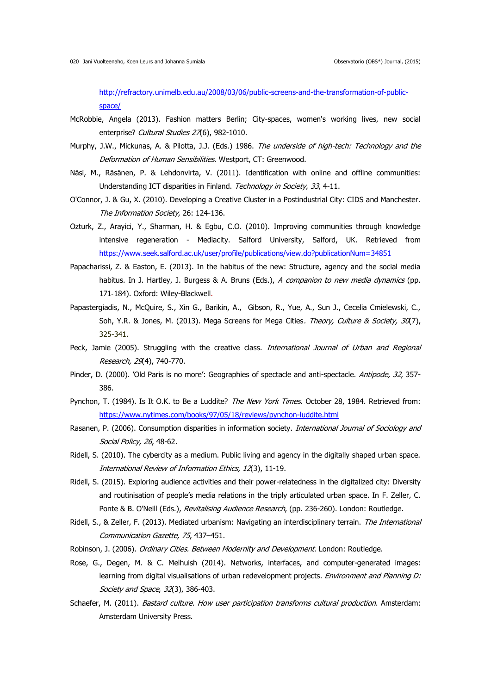[http://refractory.unimelb.edu.au/2008/03/06/public-screens-and-the-transformation-of-public](http://refractory.unimelb.edu.au/2008/03/06/public-screens-and-the-transformation-of-public-space/)[space/](http://refractory.unimelb.edu.au/2008/03/06/public-screens-and-the-transformation-of-public-space/) 

- McRobbie, Angela (2013). Fashion matters Berlin; City-spaces, women's working lives, new social enterprise? Cultural Studies 27(6), 982-1010.
- Murphy, J.W., Mickunas, A. & Pilotta, J.J. (Eds.) 1986. The underside of high-tech: Technology and the Deformation of Human Sensibilities. Westport, CT: Greenwood.
- Näsi, M., Räsänen, P. & Lehdonvirta, V. (2011). Identification with online and offline communities: Understanding ICT disparities in Finland. Technology in Society, 33, 4-11.
- O'Connor, J. & Gu, X. (2010). Developing a Creative Cluster in a Postindustrial City: CIDS and Manchester. The Information Society, 26: 124-136.
- Ozturk, Z., Arayici, Y., Sharman, H. & Egbu, C.O. (2010). Improving communities through knowledge intensive regeneration - Mediacity. Salford University, Salford, UK. Retrieved from <https://www.seek.salford.ac.uk/user/profile/publications/view.do?publicationNum=34851>
- Papacharissi, Z. & Easton, E. (2013). In the habitus of the new: Structure, agency and the social media habitus. In J. Hartley, J. Burgess & A. Bruns (Eds.), A companion to new media dynamics (pp. 171-184). Oxford: Wiley-Blackwell.
- Papastergiadis, N., McQuire, S., Xin G., Barikin, A., Gibson, R., Yue, A., Sun J., Cecelia Cmielewski, C., Soh, Y.R. & Jones, M. (2013). Mega Screens for Mega Cities. Theory, Culture & Society, 30(7), 325-341.
- Peck, Jamie (2005). Struggling with the creative class. *International Journal of Urban and Regional* Research, 29(4), 740-770.
- Pinder, D. (2000). 'Old Paris is no more': Geographies of spectacle and anti-spectacle. Antipode, 32, 357-386.
- Pynchon, T. (1984). Is It O.K. to Be a Luddite? The New York Times. October 28, 1984. Retrieved from: <https://www.nytimes.com/books/97/05/18/reviews/pynchon-luddite.html>
- Rasanen, P. (2006). Consumption disparities in information society. International Journal of Sociology and Social Policy, 26, 48-62.
- Ridell, S. (2010). The cybercity as a medium. Public living and agency in the digitally shaped urban space. International Review of Information Ethics, 12(3), 11-19.
- Ridell, S. (2015). Exploring audience activities and their power-relatedness in the digitalized city: Diversity and routinisation of people's media relations in the triply articulated urban space. In F. Zeller, C. Ponte & B. O'Neill (Eds.), Revitalising Audience Research, (pp. 236-260). London: Routledge.
- Ridell, S., & Zeller, F. (2013). Mediated urbanism: Navigating an interdisciplinary terrain. The International Communication Gazette, 75, 437–451.
- Robinson, J. (2006). Ordinary Cities. Between Modernity and Development. London: Routledge.
- [Rose, G.](http://oro.open.ac.uk/view/person/gr334.html), Degen, M. & C. Melhuish (2014). Networks, interfaces, and computer-generated images: learning from digital visualisations of urban redevelopment projects. *Environment and Planning D:* Society and Space, 32(3), 386-403.
- Schaefer, M. (2011). *Bastard culture. How user participation transforms cultural production*. Amsterdam: Amsterdam University Press.